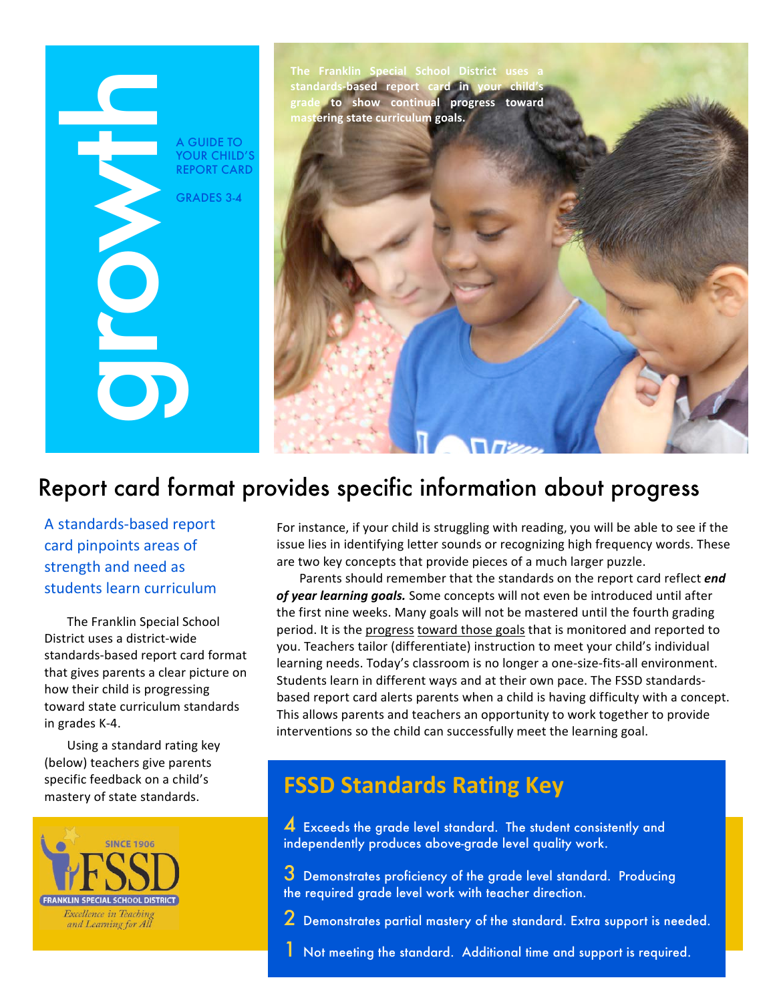# A GUIDE TO YOUR CHILD'S **REPORT CARD GRADES 3-4**

The Franklin Special School District uses a standards-based report card in your child's grade to show continual progress toward mastering state curriculum goals.

# Report card format provides specific information about progress

A standards-based report card pinpoints areas of strength and need as students learn curriculum

The Franklin Special School District uses a district-wide standards-based report card format that gives parents a clear picture on how their child is progressing toward state curriculum standards in grades K-4.

Using a standard rating key (below) teachers give parents specific feedback on a child's mastery of state standards.



For instance, if your child is struggling with reading, you will be able to see if the issue lies in identifying letter sounds or recognizing high frequency words. These are two key concepts that provide pieces of a much larger puzzle.

Parents should remember that the standards on the report card reflect end of year learning goals. Some concepts will not even be introduced until after the first nine weeks. Many goals will not be mastered until the fourth grading period. It is the progress toward those goals that is monitored and reported to you. Teachers tailor (differentiate) instruction to meet your child's individual learning needs. Today's classroom is no longer a one-size-fits-all environment. Students learn in different ways and at their own pace. The FSSD standardsbased report card alerts parents when a child is having difficulty with a concept. This allows parents and teachers an opportunity to work together to provide interventions so the child can successfully meet the learning goal.

# **FSSD Standards Rating Key**

4 Exceeds the grade level standard. The student consistently and independently produces above-grade level quality work.

- 3 Demonstrates proficiency of the grade level standard. Producing the required grade level work with teacher direction.
- 2 Demonstrates partial mastery of the standard. Extra support is needed.
- Not meeting the standard. Additional time and support is required.